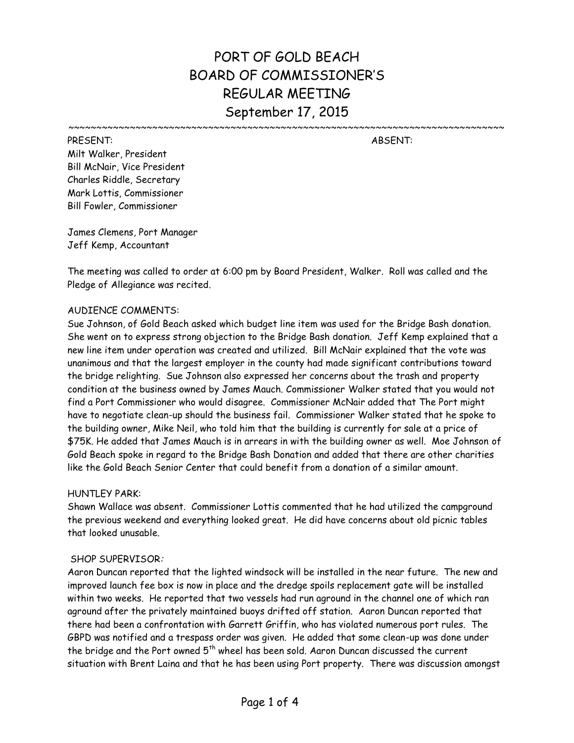# PORT OF GOLD BEACH BOARD OF COMMISSIONER'S REGULAR MEETING September 17, 2015

~~~~~~~~~~~~~~~~~~~~~~~~~~~~~~~

PRESENT: ABSENT: Milt Walker, President Bill McNair, Vice President Charles Riddle, Secretary Mark Lottis, Commissioner Bill Fowler, Commissioner

James Clemens, Port Manager Jeff Kemp, Accountant

The meeting was called to order at 6:00 pm by Board President, Walker. Roll was called and the Pledge of Allegiance was recited.

# AUDIENCE COMMENTS:

Sue Johnson, of Gold Beach asked which budget line item was used for the Bridge Bash donation. She went on to express strong objection to the Bridge Bash donation. Jeff Kemp explained that a new line item under operation was created and utilized. Bill McNair explained that the vote was unanimous and that the largest employer in the county had made significant contributions toward the bridge relighting. Sue Johnson also expressed her concerns about the trash and property condition at the business owned by James Mauch. Commissioner Walker stated that you would not find a Port Commissioner who would disagree. Commissioner McNair added that The Port might have to negotiate clean-up should the business fail. Commissioner Walker stated that he spoke to the building owner, Mike Neil, who told him that the building is currently for sale at a price of \$75K. He added that James Mauch is in arrears in with the building owner as well. Moe Johnson of Gold Beach spoke in regard to the Bridge Bash Donation and added that there are other charities like the Gold Beach Senior Center that could benefit from a donation of a similar amount.

# HUNTI FY PARK:

Shawn Wallace was absent. Commissioner Lottis commented that he had utilized the campground the previous weekend and everything looked great. He did have concerns about old picnic tables that looked unusable.

# SHOP SUPERVISOR:

Aaron Duncan reported that the lighted windsock will be installed in the near future. The new and improved launch fee box is now in place and the dredge spoils replacement gate will be installed within two weeks. He reported that two vessels had run aground in the channel one of which ran aground after the privately maintained buoys drifted off station. Aaron Duncan reported that there had been a confrontation with Garrett Griffin, who has violated numerous port rules. The GBPD was notified and a trespass order was given. He added that some clean-up was done under the bridge and the Port owned  $5<sup>th</sup>$  wheel has been sold. Aaron Duncan discussed the current situation with Brent Laina and that he has been using Port property. There was discussion amongst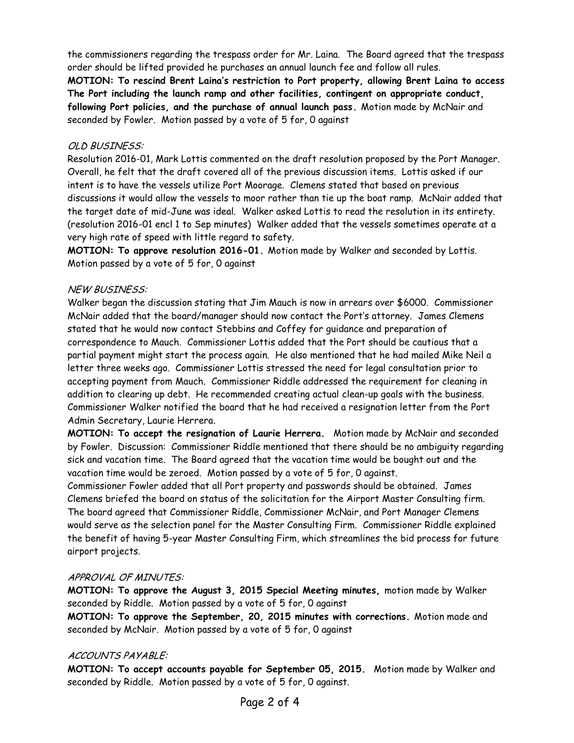the commissioners regarding the trespass order for Mr. Laina. The Board agreed that the trespass order should be lifted provided he purchases an annual launch fee and follow all rules. **MOTION: To rescind Brent Laina's restriction to Port property, allowing Brent Laina to access The Port including the launch ramp and other facilities, contingent on appropriate conduct, following Port policies, and the purchase of annual launch pass.** Motion made by McNair and seconded by Fowler. Motion passed by a vote of 5 for, 0 against

# OLD BUSINESS:

Resolution 2016-01, Mark Lottis commented on the draft resolution proposed by the Port Manager. Overall, he felt that the draft covered all of the previous discussion items. Lottis asked if our intent is to have the vessels utilize Port Moorage. Clemens stated that based on previous discussions it would allow the vessels to moor rather than tie up the boat ramp. McNair added that the target date of mid-June was ideal. Walker asked Lottis to read the resolution in its entirety. (resolution 2016-01 encl 1 to Sep minutes) Walker added that the vessels sometimes operate at a very high rate of speed with little regard to safety.

**MOTION: To approve resolution 2016-01.** Motion made by Walker and seconded by Lottis. Motion passed by a vote of 5 for, 0 against

# NEW BUSINESS:

Walker began the discussion stating that Jim Mauch is now in arrears over \$6000. Commissioner McNair added that the board/manager should now contact the Port's attorney. James Clemens stated that he would now contact Stebbins and Coffey for guidance and preparation of correspondence to Mauch. Commissioner Lottis added that the Port should be cautious that a partial payment might start the process again. He also mentioned that he had mailed Mike Neil a letter three weeks ago. Commissioner Lottis stressed the need for legal consultation prior to accepting payment from Mauch. Commissioner Riddle addressed the requirement for cleaning in addition to clearing up debt. He recommended creating actual clean-up goals with the business. Commissioner Walker notified the board that he had received a resignation letter from the Port Admin Secretary, Laurie Herrera.

**MOTION: To accept the resignation of Laurie Herrera.** Motion made by McNair and seconded by Fowler. Discussion: Commissioner Riddle mentioned that there should be no ambiguity regarding sick and vacation time. The Board agreed that the vacation time would be bought out and the vacation time would be zeroed. Motion passed by a vote of 5 for, 0 against.

Commissioner Fowler added that all Port property and passwords should be obtained. James Clemens briefed the board on status of the solicitation for the Airport Master Consulting firm. The board agreed that Commissioner Riddle, Commissioner McNair, and Port Manager Clemens would serve as the selection panel for the Master Consulting Firm. Commissioner Riddle explained the benefit of having 5-year Master Consulting Firm, which streamlines the bid process for future airport projects.

# APPROVAL OF MINUTES:

**MOTION: To approve the August 3, 2015 Special Meeting minutes,** motion made by Walker seconded by Riddle. Motion passed by a vote of 5 for, 0 against

**MOTION: To approve the September, 20, 2015 minutes with corrections.** Motion made and seconded by McNair. Motion passed by a vote of 5 for, 0 against

# ACCOUNTS PAYABLE:

**MOTION: To accept accounts payable for September 05, 2015.** Motion made by Walker and seconded by Riddle. Motion passed by a vote of 5 for, 0 against.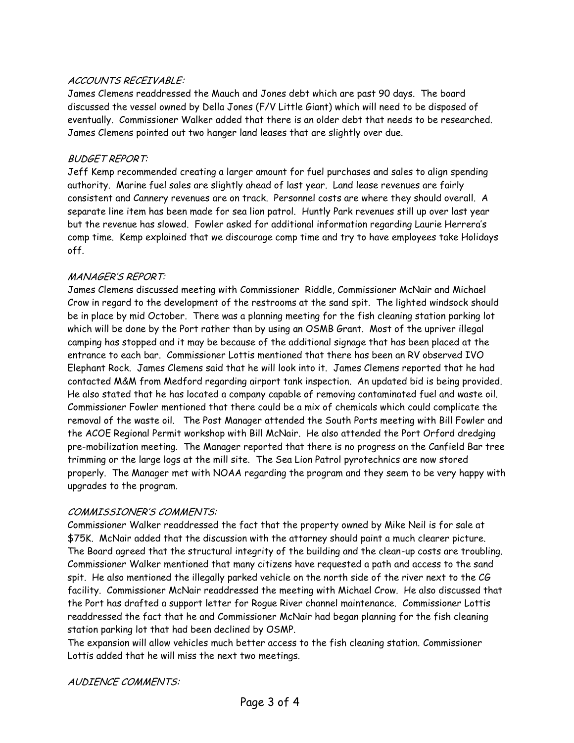# ACCOUNTS RECEIVABLE:

James Clemens readdressed the Mauch and Jones debt which are past 90 days. The board discussed the vessel owned by Della Jones (F/V Little Giant) which will need to be disposed of eventually. Commissioner Walker added that there is an older debt that needs to be researched. James Clemens pointed out two hanger land leases that are slightly over due.

### BUDGET REPORT:

Jeff Kemp recommended creating a larger amount for fuel purchases and sales to align spending authority. Marine fuel sales are slightly ahead of last year. Land lease revenues are fairly consistent and Cannery revenues are on track. Personnel costs are where they should overall. A separate line item has been made for sea lion patrol. Huntly Park revenues still up over last year but the revenue has slowed. Fowler asked for additional information regarding Laurie Herrera's comp time. Kemp explained that we discourage comp time and try to have employees take Holidays off.

## MANAGER'S REPORT:

James Clemens discussed meeting with Commissioner Riddle, Commissioner McNair and Michael Crow in regard to the development of the restrooms at the sand spit. The lighted windsock should be in place by mid October. There was a planning meeting for the fish cleaning station parking lot which will be done by the Port rather than by using an OSMB Grant. Most of the upriver illegal camping has stopped and it may be because of the additional signage that has been placed at the entrance to each bar. Commissioner Lottis mentioned that there has been an RV observed IVO Elephant Rock. James Clemens said that he will look into it. James Clemens reported that he had contacted M&M from Medford regarding airport tank inspection. An updated bid is being provided. He also stated that he has located a company capable of removing contaminated fuel and waste oil. Commissioner Fowler mentioned that there could be a mix of chemicals which could complicate the removal of the waste oil. The Post Manager attended the South Ports meeting with Bill Fowler and the ACOE Regional Permit workshop with Bill McNair. He also attended the Port Orford dredging pre-mobilization meeting. The Manager reported that there is no progress on the Canfield Bar tree trimming or the large logs at the mill site. The Sea Lion Patrol pyrotechnics are now stored properly. The Manager met with NOAA regarding the program and they seem to be very happy with upgrades to the program.

#### COMMISSIONER'S COMMENTS:

Commissioner Walker readdressed the fact that the property owned by Mike Neil is for sale at \$75K. McNair added that the discussion with the attorney should paint a much clearer picture. The Board agreed that the structural integrity of the building and the clean-up costs are troubling. Commissioner Walker mentioned that many citizens have requested a path and access to the sand spit. He also mentioned the illegally parked vehicle on the north side of the river next to the CG facility. Commissioner McNair readdressed the meeting with Michael Crow. He also discussed that the Port has drafted a support letter for Rogue River channel maintenance. Commissioner Lottis readdressed the fact that he and Commissioner McNair had began planning for the fish cleaning station parking lot that had been declined by OSMP.

The expansion will allow vehicles much better access to the fish cleaning station. Commissioner Lottis added that he will miss the next two meetings.

AUDIENCE COMMENTS: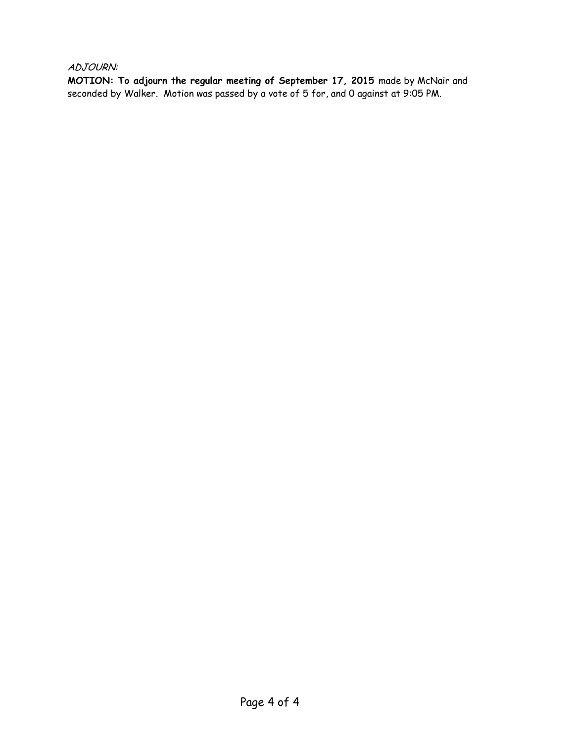ADJOURN:

**MOTION: To adjourn the regular meeting of September 17, 2015** made by McNair and seconded by Walker. Motion was passed by a vote of 5 for, and 0 against at 9:05 PM.